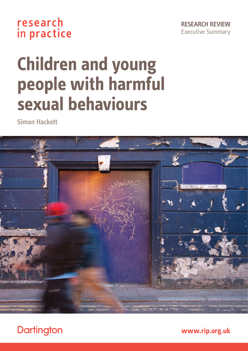### research in practice

**RESEARCH REVIEW** Executive Summary

# **Children and young people with harmful sexual behaviours**

**Simon Hackett**



**Dartington** 

**[www.rip.org.uk](http://www.rip.org.uk)**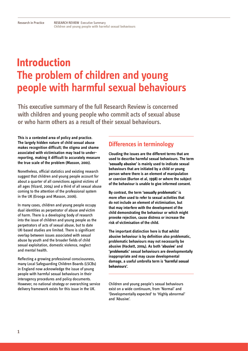## **Introduction The problem of children and young people with harmful sexual behaviours**

**This executive summary of the full Research Review is concerned with children and young people who commit acts of sexual abuse or who harm others as a result of their sexual behaviours.** 

**This is a contested area of policy and practice. The largely hidden nature of child sexual abuse makes recognition difficult; the stigma and shame associated with victimisation may lead to underreporting, making it difficult to accurately measure the true scale of the problem (Masson, 2001).**

Nonetheless, official statistics and existing research suggest that children and young people account for about a quarter of all convictions against victims of all ages (Vizard, 2004) and a third of all sexual abuse coming to the attention of the professional system in the UK (Erooga and Masson, 2006).

In many cases, children and young people occupy dual identities as perpetrator of abuse *and* victim of harm. There is a developing body of research into the issue of children and young people as the perpetrators of acts of sexual abuse, but to date UK-based studies are limited. There is significant overlap between issues associated with sexual abuse by youth and the broader fields of child sexual exploitation, domestic violence, neglect and mental health.

Reflecting a growing professional consciousness, many Local Safeguarding Children Boards (LSCBs) in England now acknowledge the issue of young people with harmful sexual behaviours in their interagency procedures and policy documents. However, no national strategy or overarching service delivery framework exists for this issue in the UK.

#### **Differences in terminology**

**Clouding the issues are the different terms that are used to describe harmful sexual behaviours. The term 'sexually abusive' is mainly used to indicate sexual behaviours that are initiated by a child or young person where there is an element of manipulation or coercion (Burton et al, 1998) or where the subject of the behaviour is unable to give informed consent.** 

**By contrast, the term 'sexually problematic' is more often used to refer to sexual activities that do not include an element of victimisation, but that may interfere with the development of the child demonstrating the behaviour or which might provoke rejection, cause distress or increase the risk of victimisation of the child.** 

**The important distinction here is that whilst abusive behaviour is by definition also problematic, problematic behaviours may not necessarily be abusive (Hackett, 2004). As both 'abusive' and 'problematic' sexual behaviours are developmentally inappropriate and may cause developmental damage, a useful umbrella term is 'harmful sexual behaviours'.** 

Children and young people's sexual behaviours exist on a wide continuum, from 'Normal' and 'Developmentally expected' to 'Highly abnormal' and 'Abusive'.